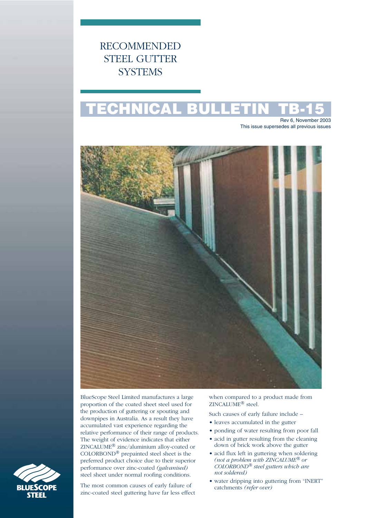RECOMMENDED STEEL GUTTER **SYSTEMS** 

# **TECHNICAL BULLETIN TB-15**

Rev 6, November 2003 This issue supersedes all previous issues



BlueScope Steel Limited manufactures a large proportion of the coated sheet steel used for the production of guttering or spouting and downpipes in Australia. As a result they have accumulated vast experience regarding the relative performance of their range of products. The weight of evidence indicates that either ZINCALUME® zinc/aluminium alloy-coated or COLORBOND® prepainted steel sheet is the preferred product choice due to their superior performance over zinc-coated *(galvanised)* steel sheet under normal roofing conditions.

The most common causes of early failure of zinc-coated steel guttering have far less effect when compared to a product made from ZINCALUME® steel.

Such causes of early failure include –

- leaves accumulated in the gutter
- ponding of water resulting from poor fall
- acid in gutter resulting from the cleaning down of brick work above the gutter
- acid flux left in guttering when soldering *(not a problem with ZINCALUME® or COLORBOND® steel gutters which are not soldered)*
- water dripping into guttering from "INERT" catchments *(refer over)*

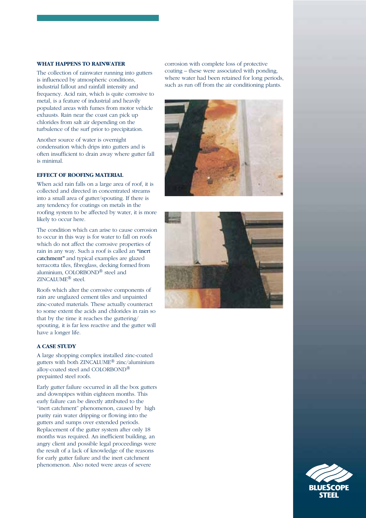## **WHAT HAPPENS TO RAINWATER**

The collection of rainwater running into gutters is influenced by atmospheric conditions, industrial fallout and rainfall intensity and frequency. Acid rain, which is quite corrosive to metal, is a feature of industrial and heavily populated areas with fumes from motor vehicle exhausts. Rain near the coast can pick up chlorides from salt air depending on the turbulence of the surf prior to precipitation.

Another source of water is overnight condensation which drips into gutters and is often insufficient to drain away where gutter fall is minimal.

## **EFFECT OF ROOFING MATERIAL**

When acid rain falls on a large area of roof, it is collected and directed in concentrated streams into a small area of gutter/spouting. If there is any tendency for coatings on metals in the roofing system to be affected by water, it is more likely to occur here.

The condition which can arise to cause corrosion to occur in this way is for water to fall on roofs which do not affect the corrosive properties of rain in any way. Such a roof is called an **"**inert catchment**"** and typical examples are glazed terracotta tiles, fibreglass, decking formed from aluminium, COLORBOND® steel and ZINCALUME® steel.

Roofs which alter the corrosive components of rain are unglazed cement tiles and unpainted zinc-coated materials. These actually counteract to some extent the acids and chlorides in rain so that by the time it reaches the guttering/ spouting, it is far less reactive and the gutter will have a longer life.

## **A CASE STUDY**

A large shopping complex installed zinc-coated gutters with both ZINCALUME® zinc/aluminium alloy-coated steel and COLORBOND® prepainted steel roofs.

Early gutter failure occurred in all the box gutters and downpipes within eighteen months. This early failure can be directly attributed to the "inert catchment" phenomenon, caused by high purity rain water dripping or flowing into the gutters and sumps over extended periods. Replacement of the gutter system after only 18 months was required. An inefficient building, an angry client and possible legal proceedings were the result of a lack of knowledge of the reasons for early gutter failure and the inert catchment phenomenon. Also noted were areas of severe

corrosion with complete loss of protective coating – these were associated with ponding, where water had been retained for long periods, such as run off from the air conditioning plants.





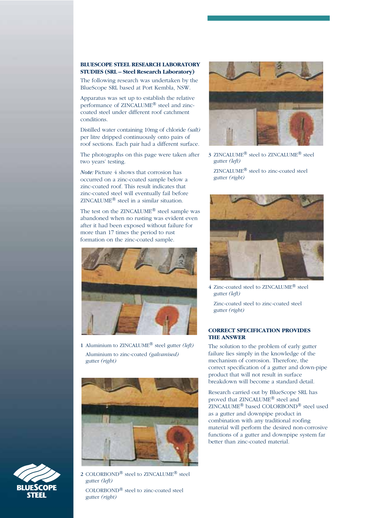### **BLUESCOPE STEEL RESEARCH LABORATORY STUDIES (SRL – Steel Research Laboratory)**

The following research was undertaken by the BlueScope SRL based at Port Kembla, NSW.

Apparatus was set up to establish the relative performance of ZINCALUME® steel and zinccoated steel under different roof catchment conditions.

Distilled water containing 10mg of chloride *(salt)* per litre dripped continuously onto pairs of roof sections. Each pair had a different surface.

The photographs on this page were taken after two years' testing.

*Note:* Picture 4 shows that corrosion has occurred on a zinc-coated sample below a zinc-coated roof. This result indicates that zinc-coated steel will eventually fail before ZINCALUME® steel in a similar situation.

The test on the ZINCALUME® steel sample was abandoned when no rusting was evident even after it had been exposed without failure for more than 17 times the period to rust formation on the zinc-coated sample.



1 Aluminium to ZINCALUME® steel gutter *(left)* Aluminium to zinc-coated *(galvanised)* gutter *(right)*





2 COLORBOND® steel to ZINCALUME® steel gutter *(left)* COLORBOND® steel to zinc-coated steel gutter *(right)*



3 ZINCALUME® steel to ZINCALUME® steel gutter *(left)*

ZINCALUME® steel to zinc-coated steel gutter *(right)*



4 Zinc-coated steel to ZINCALUME® steel gutter *(left)*

Zinc-coated steel to zinc-coated steel gutter *(right)*

### **CORRECT SPECIFICATION PROVIDES THE ANSWER**

The solution to the problem of early gutter failure lies simply in the knowledge of the mechanism of corrosion. Therefore, the correct specification of a gutter and down-pipe product that will not result in surface breakdown will become a standard detail.

Research carried out by BlueScope SRL has proved that ZINCALUME® steel and ZINCALUME® based COLORBOND® steel used as a gutter and downpipe product in combination with any traditional roofing material will perform the desired non-corrosive functions of a gutter and downpipe system far better than zinc-coated material.